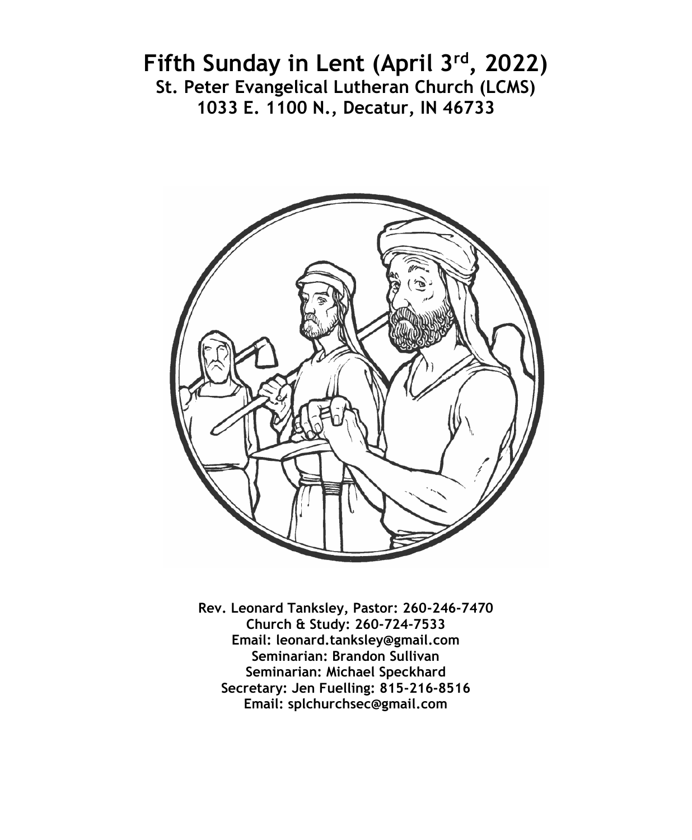# **Fifth Sunday in Lent (April 3rd, 2022) St. Peter Evangelical Lutheran Church (LCMS) 1033 E. 1100 N., Decatur, IN 46733**



**Rev. Leonard Tanksley, Pastor: 260-246-7470 Church & Study: 260-724-7533 Email: leonard.tanksley@gmail.com Seminarian: Brandon Sullivan Seminarian: Michael Speckhard Secretary: Jen Fuelling: 815-216-8516 Email: splchurchsec@gmail.com**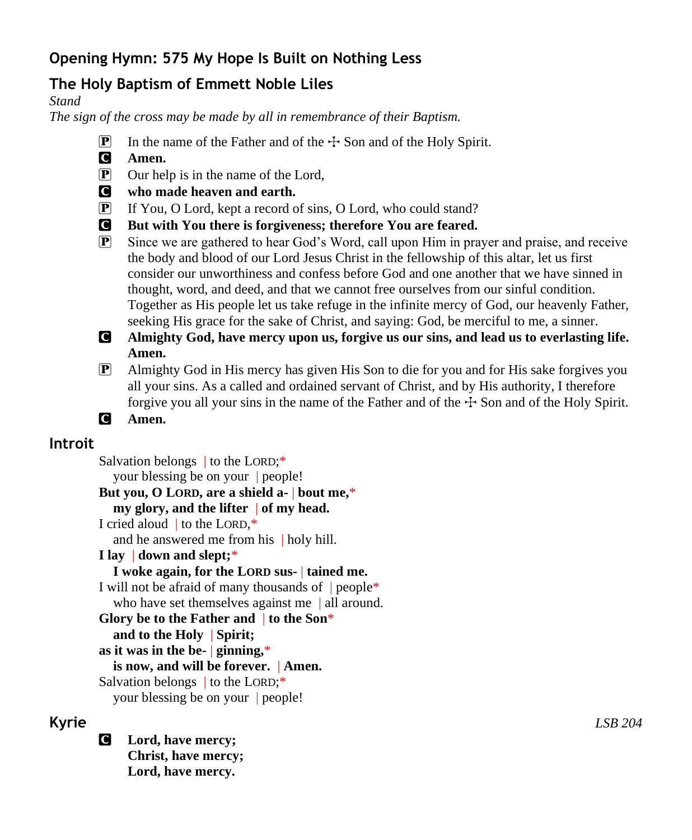## **Opening Hymn: 575 My Hope Is Built on Nothing Less**

# **The Holy Baptism of Emmett Noble Liles**

#### *Stand*

*The sign of the cross may be made by all in remembrance of their Baptism.*

- **P** In the name of the Father and of the  $\pm$  Son and of the Holy Spirit.
- C **Amen.**
- $\overline{P}$  Our help is in the name of the Lord,
- C **who made heaven and earth.**
- P If You, O Lord, kept a record of sins, O Lord, who could stand?
- C **But with You there is forgiveness; therefore You are feared.**
- P Since we are gathered to hear God's Word, call upon Him in prayer and praise, and receive the body and blood of our Lord Jesus Christ in the fellowship of this altar, let us first consider our unworthiness and confess before God and one another that we have sinned in thought, word, and deed, and that we cannot free ourselves from our sinful condition. Together as His people let us take refuge in the infinite mercy of God, our heavenly Father, seeking His grace for the sake of Christ, and saying: God, be merciful to me, a sinner.
- C **Almighty God, have mercy upon us, forgive us our sins, and lead us to everlasting life. Amen.**
- P Almighty God in His mercy has given His Son to die for you and for His sake forgives you all your sins. As a called and ordained servant of Christ, and by His authority, I therefore forgive you all your sins in the name of the Father and of the  $\pm$  Son and of the Holy Spirit.
- C **Amen.**

## **Introit**

Salvation belongs to the LORD:\* your blessing be on your | people! **But you, O LORD, are a shield a-** | **bout me,**\* **my glory, and the lifter** | **of my head.** I cried aloud | to the LORD,\* and he answered me from his | holy hill. **I lay** | **down and slept;**\* **I woke again, for the LORD sus-** | **tained me.** I will not be afraid of many thousands of  $|$  people\* who have set themselves against me | all around. **Glory be to the Father and** | **to the Son**\* **and to the Holy** | **Spirit; as it was in the be-** | **ginning,**\* **is now, and will be forever.** | **Amen.** Salvation belongs to the LORD;\* your blessing be on your | people!

C **Lord, have mercy; Christ, have mercy; Lord, have mercy.**

**Kyrie** *LSB 204*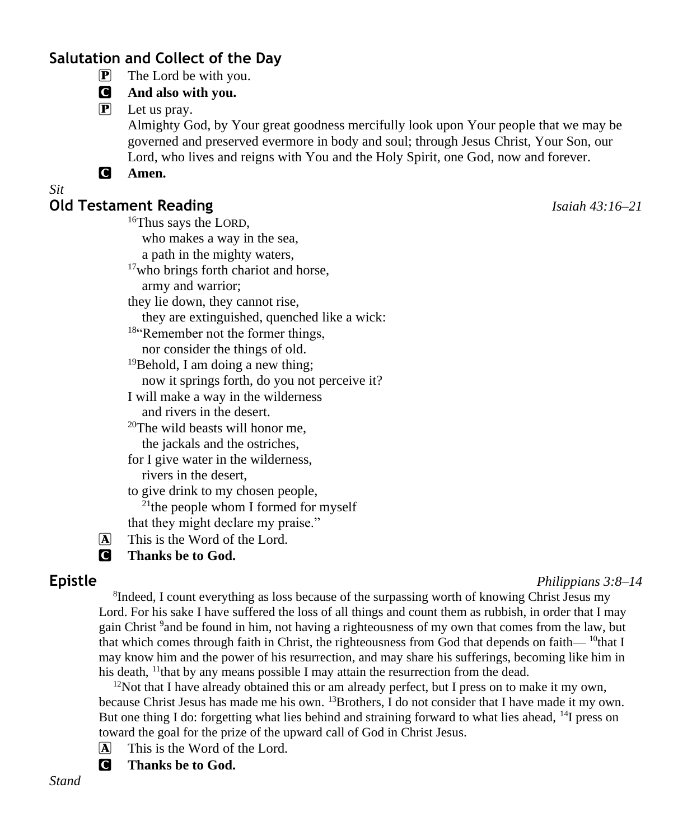## **Salutation and Collect of the Day**

P The Lord be with you.

#### C **And also with you.**

P Let us pray.

Almighty God, by Your great goodness mercifully look upon Your people that we may be governed and preserved evermore in body and soul; through Jesus Christ, Your Son, our Lord, who lives and reigns with You and the Holy Spirit, one God, now and forever.

#### C **Amen.**

#### *Sit*

## **Old Testament Reading** *Isaiah 43:16–21*

<sup>16</sup>Thus says the LORD,

who makes a way in the sea,

a path in the mighty waters,

<sup>17</sup>who brings forth chariot and horse,

army and warrior;

they lie down, they cannot rise,

they are extinguished, quenched like a wick:

<sup>18"</sup>Remember not the former things, nor consider the things of old.

 $19$ Behold, I am doing a new thing; now it springs forth, do you not perceive it?

I will make a way in the wilderness and rivers in the desert.

 $20$ The wild beasts will honor me.

the jackals and the ostriches,

for I give water in the wilderness, rivers in the desert,

to give drink to my chosen people,  $21$ <sup>the</sup> people whom I formed for myself

that they might declare my praise."

A This is the Word of the Lord.

C **Thanks be to God.**

#### **Epistle** *Philippians 3:8–14*

<sup>8</sup>Indeed, I count everything as loss because of the surpassing worth of knowing Christ Jesus my Lord. For his sake I have suffered the loss of all things and count them as rubbish, in order that I may gain Christ <sup>9</sup> and be found in him, not having a righteousness of my own that comes from the law, but that which comes through faith in Christ, the righteousness from God that depends on faith— $^{10}$ that I may know him and the power of his resurrection, and may share his sufferings, becoming like him in his death,  $\frac{11}{11}$  that by any means possible I may attain the resurrection from the dead.

 $12$ Not that I have already obtained this or am already perfect, but I press on to make it my own, because Christ Jesus has made me his own. <sup>13</sup>Brothers, I do not consider that I have made it my own. But one thing I do: forgetting what lies behind and straining forward to what lies ahead, <sup>14</sup>I press on toward the goal for the prize of the upward call of God in Christ Jesus.

A This is the Word of the Lord.

C **Thanks be to God.**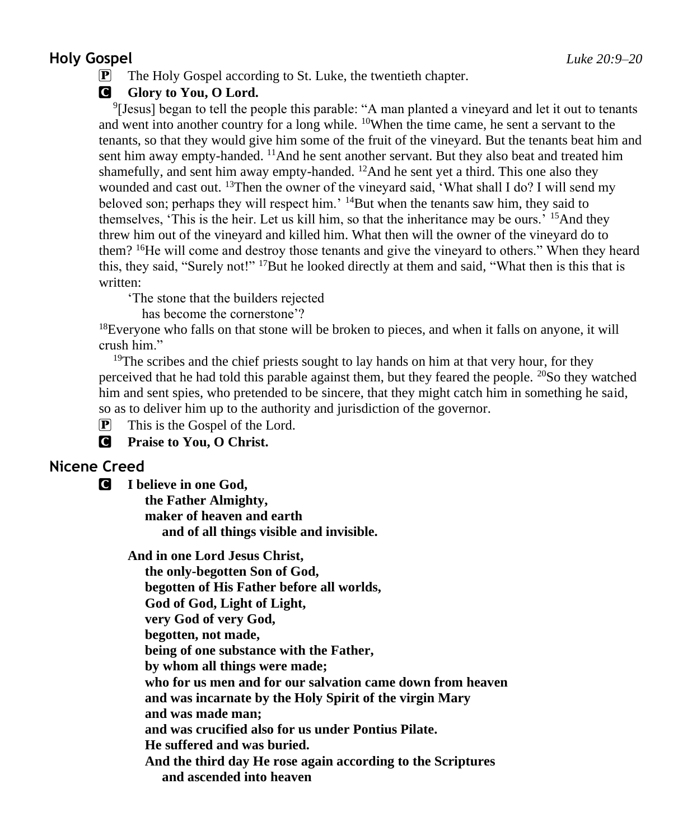#### **Holy Gospel** *Luke 20:9–20*

P The Holy Gospel according to St. Luke, the twentieth chapter.

#### **G** Glory to You, O Lord.

9 [Jesus] began to tell the people this parable: "A man planted a vineyard and let it out to tenants and went into another country for a long while.  $^{10}$ When the time came, he sent a servant to the tenants, so that they would give him some of the fruit of the vineyard. But the tenants beat him and sent him away empty-handed. <sup>11</sup>And he sent another servant. But they also beat and treated him shamefully, and sent him away empty-handed.  $^{12}$ And he sent yet a third. This one also they wounded and cast out. <sup>13</sup>Then the owner of the vineyard said, 'What shall I do? I will send my beloved son; perhaps they will respect him.<sup>'</sup> <sup>14</sup>But when the tenants saw him, they said to themselves, 'This is the heir. Let us kill him, so that the inheritance may be ours.' <sup>15</sup>And they threw him out of the vineyard and killed him. What then will the owner of the vineyard do to them?  $16$ He will come and destroy those tenants and give the vineyard to others." When they heard this, they said, "Surely not!" <sup>17</sup>But he looked directly at them and said, "What then is this that is written:

'The stone that the builders rejected

has become the cornerstone'?

<sup>18</sup>Everyone who falls on that stone will be broken to pieces, and when it falls on anyone, it will crush him."

<sup>19</sup>The scribes and the chief priests sought to lay hands on him at that very hour, for they perceived that he had told this parable against them, but they feared the people.  $^{20}$ So they watched him and sent spies, who pretended to be sincere, that they might catch him in something he said, so as to deliver him up to the authority and jurisdiction of the governor.

 $\mathbf{P}$  This is the Gospel of the Lord.

C **Praise to You, O Christ.**

## **Nicene Creed**

C **I believe in one God,**

 **the Father Almighty, maker of heaven and earth and of all things visible and invisible.**

**And in one Lord Jesus Christ,**

 **the only-begotten Son of God, begotten of His Father before all worlds, God of God, Light of Light, very God of very God, begotten, not made, being of one substance with the Father, by whom all things were made; who for us men and for our salvation came down from heaven and was incarnate by the Holy Spirit of the virgin Mary and was made man; and was crucified also for us under Pontius Pilate. He suffered and was buried. And the third day He rose again according to the Scriptures and ascended into heaven**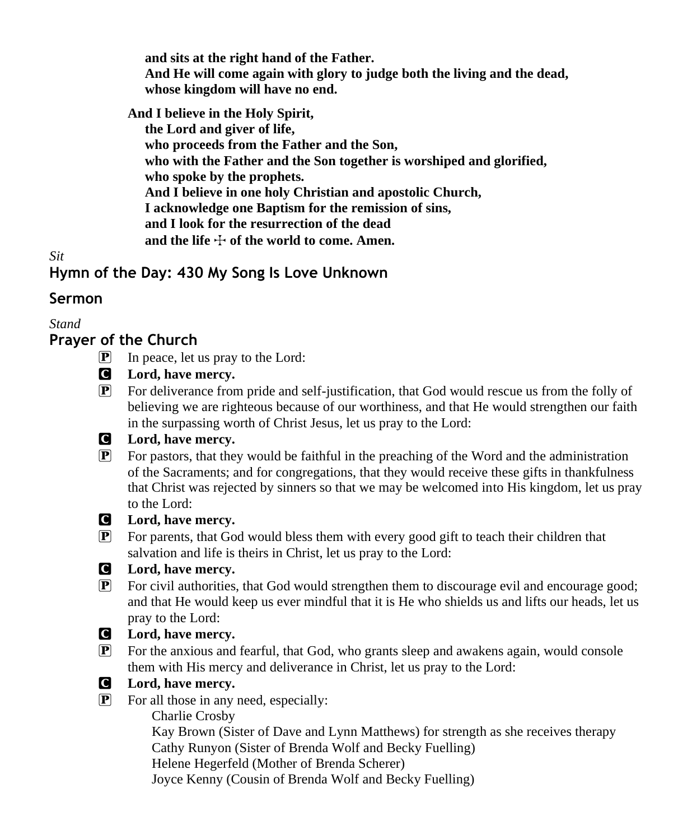**and sits at the right hand of the Father. And He will come again with glory to judge both the living and the dead, whose kingdom will have no end.**

**And I believe in the Holy Spirit,**

 **the Lord and giver of life, who proceeds from the Father and the Son, who with the Father and the Son together is worshiped and glorified, who spoke by the prophets. And I believe in one holy Christian and apostolic Church, I acknowledge one Baptism for the remission of sins, and I look for the resurrection of the dead** and the life  $\div$  of the world to come. Amen.

*Sit*

## **Hymn of the Day: 430 My Song Is Love Unknown**

## **Sermon**

*Stand*

## **Prayer of the Church**

- P In peace, let us pray to the Lord:
- C **Lord, have mercy.**
- P For deliverance from pride and self-justification, that God would rescue us from the folly of believing we are righteous because of our worthiness, and that He would strengthen our faith in the surpassing worth of Christ Jesus, let us pray to the Lord:

## C **Lord, have mercy.**

 $\mathbf{P}$  For pastors, that they would be faithful in the preaching of the Word and the administration of the Sacraments; and for congregations, that they would receive these gifts in thankfulness that Christ was rejected by sinners so that we may be welcomed into His kingdom, let us pray to the Lord:



#### C **Lord, have mercy.**

P For parents, that God would bless them with every good gift to teach their children that salvation and life is theirs in Christ, let us pray to the Lord:



## C **Lord, have mercy.**

P For civil authorities, that God would strengthen them to discourage evil and encourage good; and that He would keep us ever mindful that it is He who shields us and lifts our heads, let us pray to the Lord:

## C **Lord, have mercy.**

- P For the anxious and fearful, that God, who grants sleep and awakens again, would console them with His mercy and deliverance in Christ, let us pray to the Lord:
- 
- C **Lord, have mercy.**
- P For all those in any need, especially:

Charlie Crosby

 Kay Brown (Sister of Dave and Lynn Matthews) for strength as she receives therapy Cathy Runyon (Sister of Brenda Wolf and Becky Fuelling) Helene Hegerfeld (Mother of Brenda Scherer)

Joyce Kenny (Cousin of Brenda Wolf and Becky Fuelling)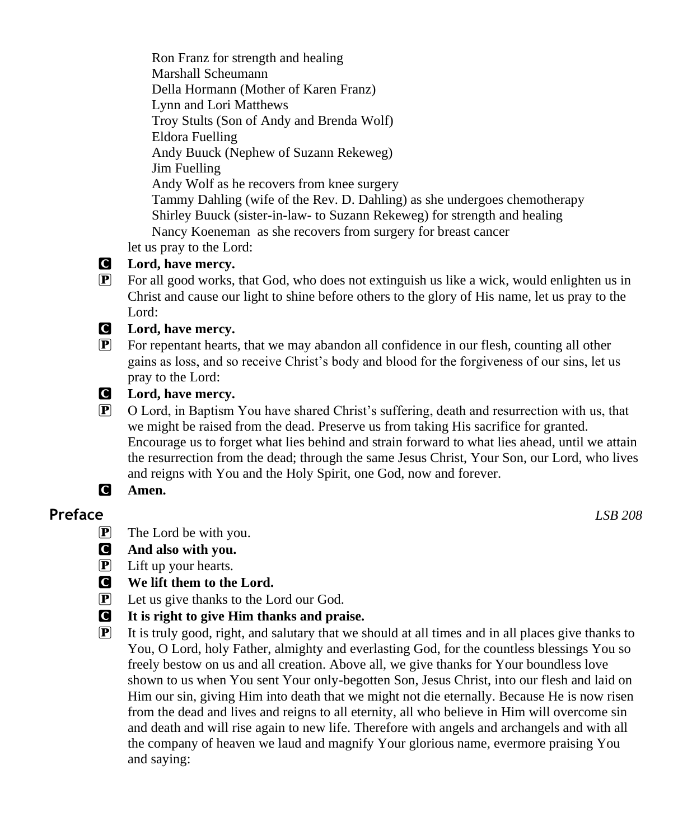Ron Franz for strength and healing Marshall Scheumann Della Hormann (Mother of Karen Franz) Lynn and Lori Matthews Troy Stults (Son of Andy and Brenda Wolf) Eldora Fuelling Andy Buuck (Nephew of Suzann Rekeweg) Jim Fuelling Andy Wolf as he recovers from knee surgery Tammy Dahling (wife of the Rev. D. Dahling) as she undergoes chemotherapy Shirley Buuck (sister-in-law- to Suzann Rekeweg) for strength and healing Nancy Koeneman as she recovers from surgery for breast cancer

let us pray to the Lord:

#### C **Lord, have mercy.**

P For all good works, that God, who does not extinguish us like a wick, would enlighten us in Christ and cause our light to shine before others to the glory of His name, let us pray to the Lord:

#### C **Lord, have mercy.**

P For repentant hearts, that we may abandon all confidence in our flesh, counting all other gains as loss, and so receive Christ's body and blood for the forgiveness of our sins, let us pray to the Lord:



P O Lord, in Baptism You have shared Christ's suffering, death and resurrection with us, that we might be raised from the dead. Preserve us from taking His sacrifice for granted. Encourage us to forget what lies behind and strain forward to what lies ahead, until we attain the resurrection from the dead; through the same Jesus Christ, Your Son, our Lord, who lives and reigns with You and the Holy Spirit, one God, now and forever.

## C **Amen.**

#### **Preface** *LSB 208*

- $\mathbf{P}$  The Lord be with you.
- C **And also with you.**
- $\left| \mathbf{P} \right|$  Lift up your hearts.
- C **We lift them to the Lord.**
- P Let us give thanks to the Lord our God.
- C **It is right to give Him thanks and praise.**
- $\mathbb{P}$  It is truly good, right, and salutary that we should at all times and in all places give thanks to You, O Lord, holy Father, almighty and everlasting God, for the countless blessings You so freely bestow on us and all creation. Above all, we give thanks for Your boundless love shown to us when You sent Your only-begotten Son, Jesus Christ, into our flesh and laid on Him our sin, giving Him into death that we might not die eternally. Because He is now risen from the dead and lives and reigns to all eternity, all who believe in Him will overcome sin and death and will rise again to new life. Therefore with angels and archangels and with all the company of heaven we laud and magnify Your glorious name, evermore praising You and saying: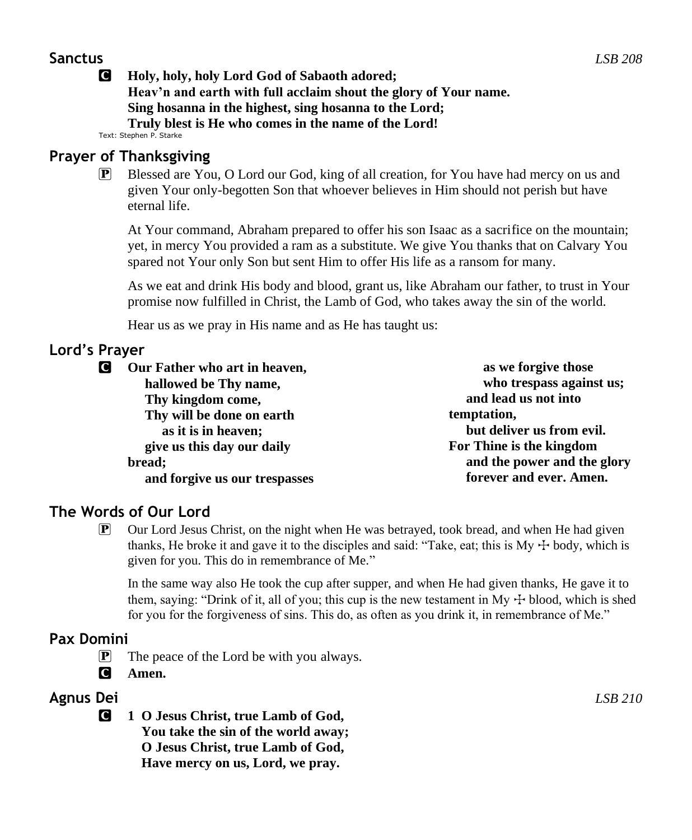#### **Sanctus** *LSB 208*

C **Holy, holy, holy Lord God of Sabaoth adored; Heav'n and earth with full acclaim shout the glory of Your name. Sing hosanna in the highest, sing hosanna to the Lord; Truly blest is He who comes in the name of the Lord!**

Text: Stephen P. Starke

#### **Prayer of Thanksgiving**

**P** Blessed are You, O Lord our God, king of all creation, for You have had mercy on us and given Your only-begotten Son that whoever believes in Him should not perish but have eternal life.

At Your command, Abraham prepared to offer his son Isaac as a sacrifice on the mountain; yet, in mercy You provided a ram as a substitute. We give You thanks that on Calvary You spared not Your only Son but sent Him to offer His life as a ransom for many.

As we eat and drink His body and blood, grant us, like Abraham our father, to trust in Your promise now fulfilled in Christ, the Lamb of God, who takes away the sin of the world.

Hear us as we pray in His name and as He has taught us:

## **Lord's Prayer**

| Our Father who art in heaven,                          | as we forgive those         |  |
|--------------------------------------------------------|-----------------------------|--|
| hallowed be Thy name,                                  | who trespass against us;    |  |
| Thy kingdom come,                                      | and lead us not into        |  |
| Thy will be done on earth                              | temptation,                 |  |
| but deliver us from evil.<br>as it is in heaven;       |                             |  |
| For Thine is the kingdom<br>give us this day our daily |                             |  |
| bread;                                                 | and the power and the glory |  |
| and forgive us our trespasses                          | forever and ever. Amen.     |  |

## **The Words of Our Lord**

P Our Lord Jesus Christ, on the night when He was betrayed, took bread, and when He had given thanks, He broke it and gave it to the disciples and said: "Take, eat; this is My  $+$  body, which is given for you. This do in remembrance of Me."

In the same way also He took the cup after supper, and when He had given thanks, He gave it to them, saying: "Drink of it, all of you; this cup is the new testament in My  $\pm$  blood, which is shed for you for the forgiveness of sins. This do, as often as you drink it, in remembrance of Me."

## **Pax Domini**

 $\mathbf{P}$  The peace of the Lord be with you always.

C **Amen.**

## **Agnus Dei** *LSB 210*

C **1 O Jesus Christ, true Lamb of God, You take the sin of the world away; O Jesus Christ, true Lamb of God, Have mercy on us, Lord, we pray.**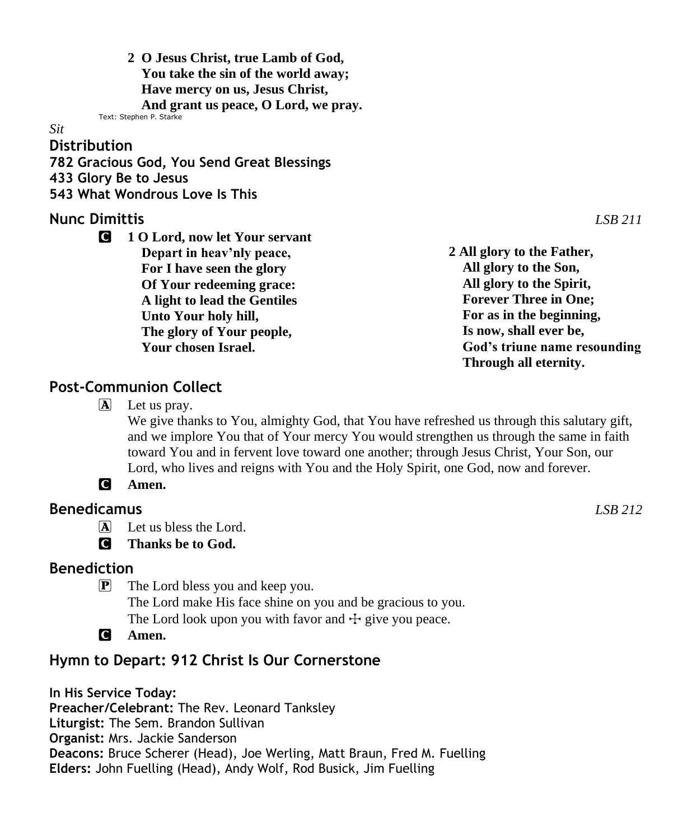**2 O Jesus Christ, true Lamb of God, You take the sin of the world away; Have mercy on us, Jesus Christ, And grant us peace, O Lord, we pray.** Text: Stephen P. Starke

#### *Sit*

#### **Distribution**

**782 Gracious God, You Send Great Blessings**

**433 Glory Be to Jesus**

**543 What Wondrous Love Is This**

#### **Nunc Dimittis** *LSB 211*

C **1 O Lord, now let Your servant Depart in heav'nly peace, For I have seen the glory Of Your redeeming grace: A light to lead the Gentiles Unto Your holy hill, The glory of Your people, Your chosen Israel.**

**2 All glory to the Father, All glory to the Son, All glory to the Spirit, Forever Three in One; For as in the beginning, Is now, shall ever be, God's triune name resounding Through all eternity.**

#### **Post-Communion Collect**

 $\Box$  Let us pray.

We give thanks to You, almighty God, that You have refreshed us through this salutary gift, and we implore You that of Your mercy You would strengthen us through the same in faith toward You and in fervent love toward one another; through Jesus Christ, Your Son, our Lord, who lives and reigns with You and the Holy Spirit, one God, now and forever.



#### **Benedicamus** *LSB 212*

A Let us bless the Lord.

C **Thanks be to God.**

#### **Benediction**

 $\mathbf{P}$  The Lord bless you and keep you.

The Lord make His face shine on you and be gracious to you.

The Lord look upon you with favor and  $\pm$  give you peace.

C **Amen.**

## **Hymn to Depart: 912 Christ Is Our Cornerstone**

**In His Service Today: Preacher/Celebrant:** The Rev. Leonard Tanksley **Liturgist:** The Sem. Brandon Sullivan **Organist:** Mrs. Jackie Sanderson **Deacons:** Bruce Scherer (Head), Joe Werling, Matt Braun, Fred M. Fuelling **Elders:** John Fuelling (Head), Andy Wolf, Rod Busick, Jim Fuelling